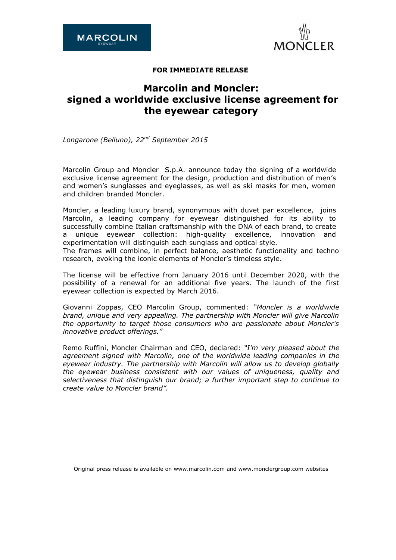

## **FOR IMMEDIATE RELEASE**

# **Marcolin and Moncler: signed a worldwide exclusive license agreement for the eyewear category**

*Longarone (Belluno), 22nd September 2015*

Marcolin Group and Moncler S.p.A. announce today the signing of a worldwide exclusive license agreement for the design, production and distribution of men's and women's sunglasses and eyeglasses, as well as ski masks for men, women and children branded Moncler.

Moncler, a leading luxury brand, synonymous with duvet par excellence, joins Marcolin, a leading company for eyewear distinguished for its ability to successfully combine Italian craftsmanship with the DNA of each brand, to create a unique eyewear collection: high-quality excellence, innovation and experimentation will distinguish each sunglass and optical style.

The frames will combine, in perfect balance, aesthetic functionality and techno research, evoking the iconic elements of Moncler's timeless style.

The license will be effective from January 2016 until December 2020, with the possibility of a renewal for an additional five years. The launch of the first eyewear collection is expected by March 2016.

Giovanni Zoppas, CEO Marcolin Group, commented: *"Moncler is a worldwide brand, unique and very appealing. The partnership with Moncler will give Marcolin the opportunity to target those consumers who are passionate about Moncler's innovative product offerings."*

Remo Ruffini, Moncler Chairman and CEO, declared: *"I'm very pleased about the agreement signed with Marcolin, one of the worldwide leading companies in the eyewear industry. The partnership with Marcolin will allow us to develop globally the eyewear business consistent with our values of uniqueness, quality and selectiveness that distinguish our brand; a further important step to continue to create value to Moncler brand".*

Original press release is available on [www.marcolin.com](http://www.marcolin.com/) and [www.monclergroup.com](file:///C:/Users/smorlacchi/AppData/Local/Temp/notes90C43B/www.monclergroup.com) websites